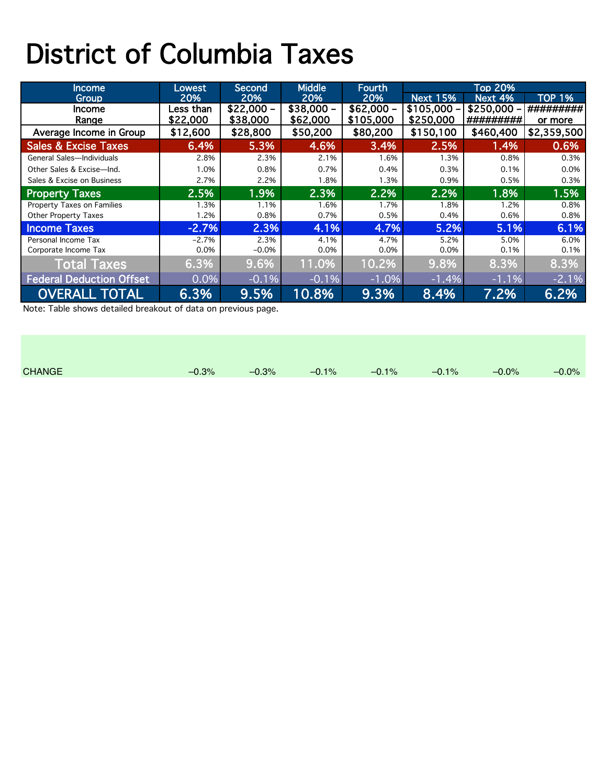## District of Columbia Taxes

| Income                          | Lowest    | Second,    | Middle     | Fourth     | <b>Top 20%</b>  |             |               |  |
|---------------------------------|-----------|------------|------------|------------|-----------------|-------------|---------------|--|
| Group                           | 20%       | 20%        | 20%        | 20%        | <b>Next 15%</b> | Next 4%     | <b>TOP 1%</b> |  |
| <b>Income</b>                   | Less than | $$22,000-$ | $$38,000-$ | $$62,000-$ | $$105,000 -$    | $$250,000-$ | #########     |  |
| Range                           | \$22,000  | \$38,000   | \$62,000   | \$105,000  | \$250,000       | #########   | or more       |  |
| Average Income in Group         | \$12,600  | \$28,800   | \$50,200   | \$80,200   | \$150,100       | \$460,400   | \$2,359,500   |  |
| <b>Sales &amp; Excise Taxes</b> | 6.4%      | 5.3%       | 4.6%       | 3.4%       | 2.5%            | 1.4%        | 0.6%          |  |
| General Sales-Individuals       | 2.8%      | 2.3%       | 2.1%       | 1.6%       | 1.3%            | 0.8%        | 0.3%          |  |
| Other Sales & Excise-Ind.       | 1.0%      | 0.8%       | 0.7%       | 0.4%       | 0.3%            | 0.1%        | 0.0%          |  |
| Sales & Excise on Business      | 2.7%      | 2.2%       | 1.8%       | 1.3%       | 0.9%            | 0.5%        | 0.3%          |  |
| <b>Property Taxes</b>           | 2.5%      | 1.9%       | 2.3%       | 2.2%       | 2.2%            | 1.8%        | 1.5%          |  |
| Property Taxes on Families      | l.3%      | 1.1%       | 1.6%       | 1.7%       | 1.8%            | 1.2%        | 0.8%          |  |
| <b>Other Property Taxes</b>     | .2%       | 0.8%       | 0.7%       | 0.5%       | 0.4%            | 0.6%        | 0.8%          |  |
| <b>Income Taxes</b>             | $-2.7%$   | 2.3%       | 4.1%       | 4.7%       | 5.2%            | 5.1%        | 6.1%          |  |
| Personal Income Tax             | $-2.7%$   | 2.3%       | 4.1%       | 4.7%       | 5.2%            | 5.0%        | 6.0%          |  |
| Corporate Income Tax            | 0.0%      | $-0.0%$    | 0.0%       | 0.0%       | 0.0%            | 0.1%        | 0.1%          |  |
| <b>Total Taxes</b>              | 6.3%      | 9.6%       | 11.0%      | 10.2%      | 9.8%            | 8.3%        | 8.3%          |  |
| <b>Federal Deduction Offset</b> | 0.0%      | $-0.1%$    | $-0.1%$    | $-1.0%$    | $-1.4%$         | $-1.1%$     | $-2.1%$       |  |
| <b>OVERALL TOTAL</b>            | 6.3%      | 9.5%       | 10.8%      | 9.3%       | 8.4%            | 7.2%        | 6.2%          |  |

Note: Table shows detailed breakout of data on previous page.

| <b>CHANGE</b> | $-0.3%$ | $-0.3%$ | $-0.1\%$ | $-0.1\%$ | $-0.1\%$ | $-0.0\%$ | $-0.0\%$ |
|---------------|---------|---------|----------|----------|----------|----------|----------|